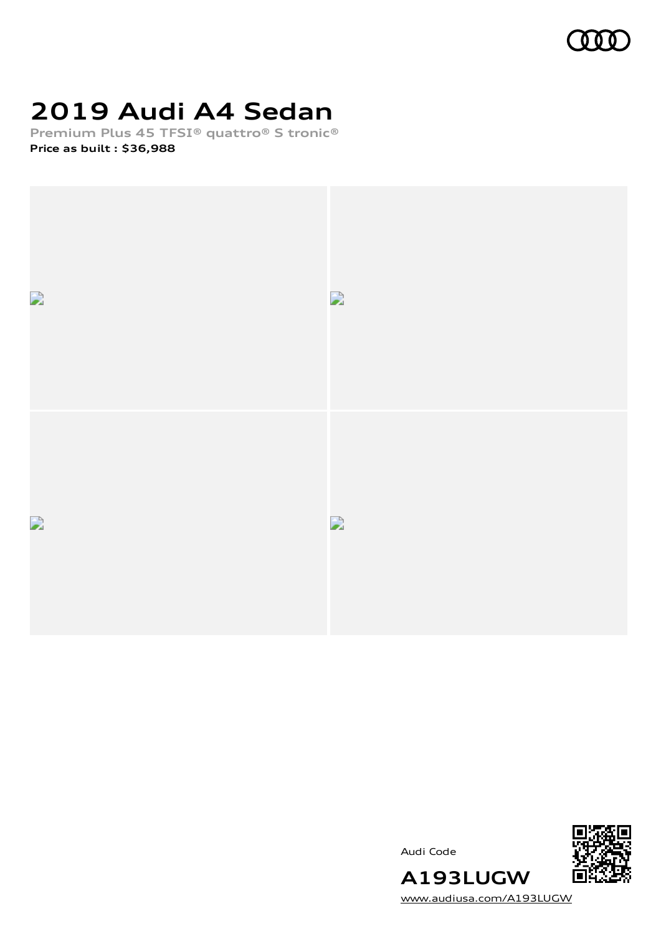

# **2019 Audi A4 Sedan**

**Premium Plus 45 TFSI® quattro® S tronic® Price as built [:](#page-8-0) \$36,988**



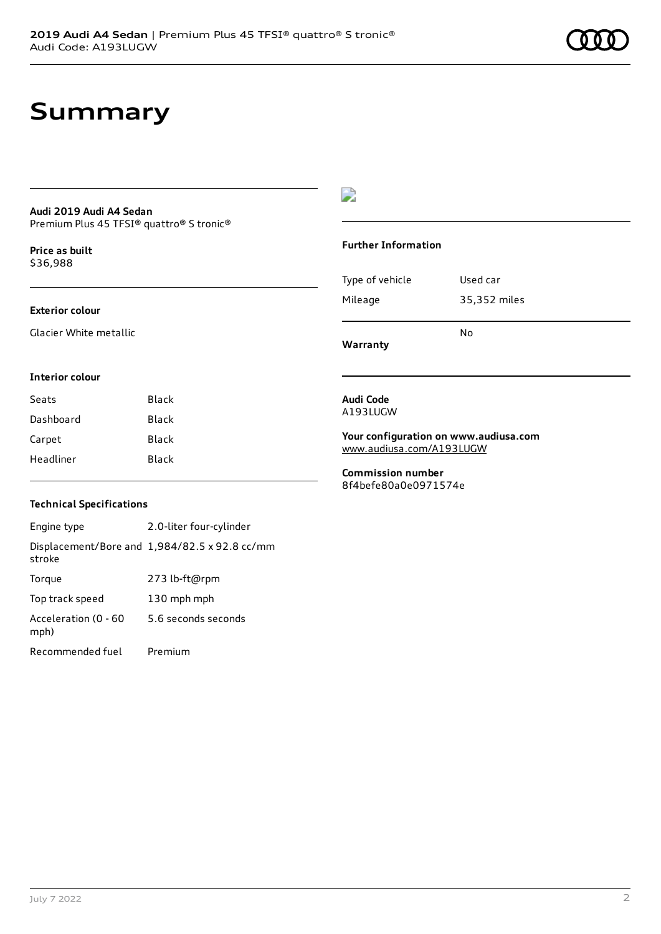### **Summary**

#### **Audi 2019 Audi A4 Sedan** Premium Plus 45 TFSI® quattro® S tronic®

**Price as buil[t](#page-8-0)** \$36,988

#### **Exterior colour**

Glacier White metallic

### D

#### **Further Information**

|                 | N٥           |
|-----------------|--------------|
| Mileage         | 35,352 miles |
| Type of vehicle | Used car     |

**Warranty**

#### **Interior colour**

| Seats     | Black |
|-----------|-------|
| Dashboard | Black |
| Carpet    | Black |
| Headliner | Black |

#### **Audi Code** A193LUGW

**Your configuration on www.audiusa.com** [www.audiusa.com/A193LUGW](https://www.audiusa.com/A193LUGW)

**Commission number** 8f4befe80a0e0971574e

#### **Technical Specifications**

Engine type 2.0-liter four-cylinder Displacement/Bore and 1,984/82.5 x 92.8 cc/mm stroke Torque 273 lb-ft@rpm Top track speed 130 mph mph Acceleration (0 - 60 mph) 5.6 seconds seconds Recommended fuel Premium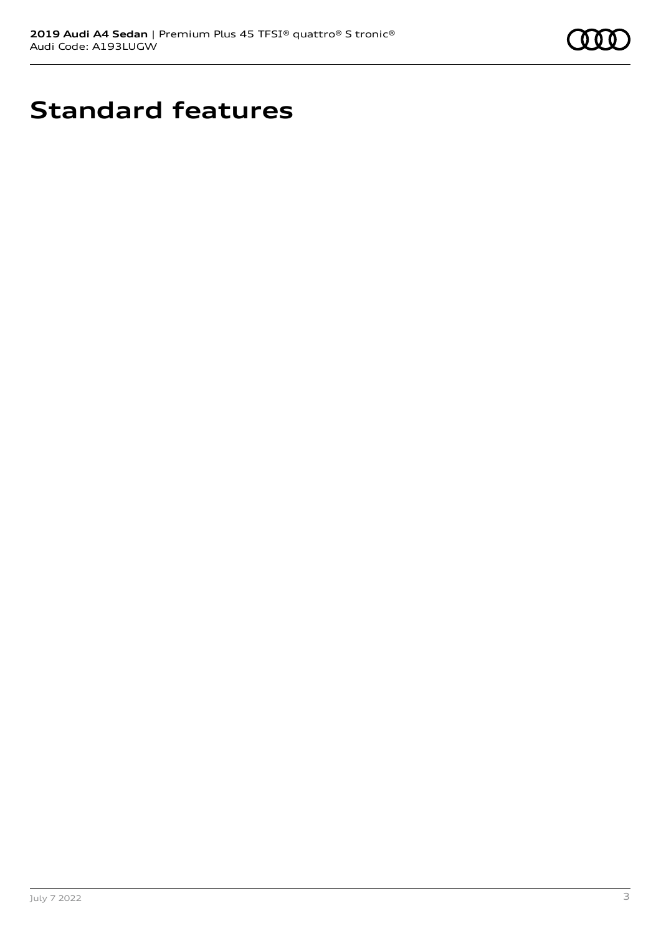

## **Standard features**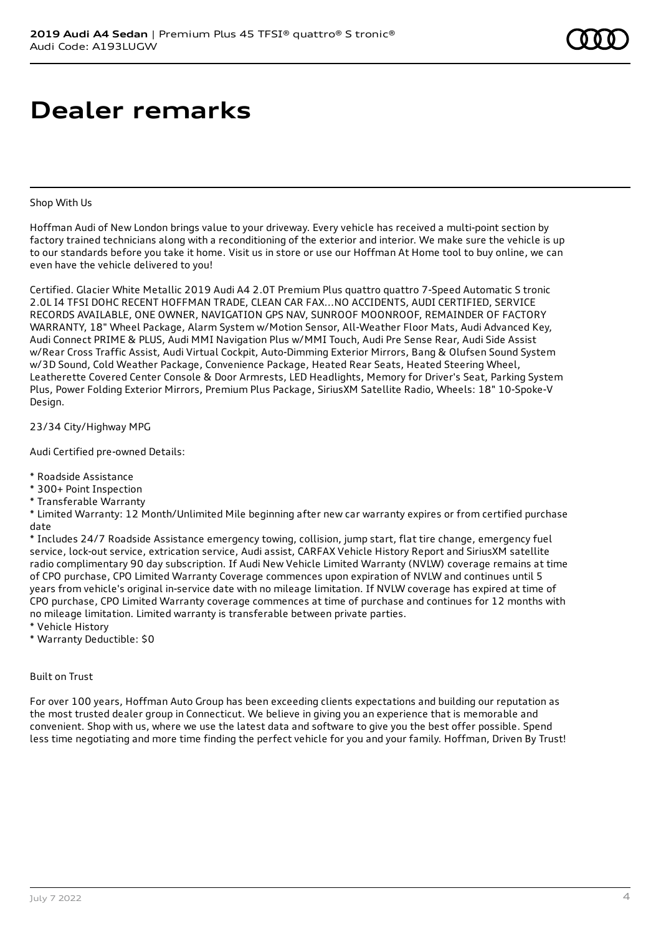### **Dealer remarks**

#### Shop With Us

Hoffman Audi of New London brings value to your driveway. Every vehicle has received a multi-point section by factory trained technicians along with a reconditioning of the exterior and interior. We make sure the vehicle is up to our standards before you take it home. Visit us in store or use our Hoffman At Home tool to buy online, we can even have the vehicle delivered to you!

Certified. Glacier White Metallic 2019 Audi A4 2.0T Premium Plus quattro quattro 7-Speed Automatic S tronic 2.0L I4 TFSI DOHC RECENT HOFFMAN TRADE, CLEAN CAR FAX...NO ACCIDENTS, AUDI CERTIFIED, SERVICE RECORDS AVAILABLE, ONE OWNER, NAVIGATION GPS NAV, SUNROOF MOONROOF, REMAINDER OF FACTORY WARRANTY, 18" Wheel Package, Alarm System w/Motion Sensor, All-Weather Floor Mats, Audi Advanced Key, Audi Connect PRIME & PLUS, Audi MMI Navigation Plus w/MMI Touch, Audi Pre Sense Rear, Audi Side Assist w/Rear Cross Traffic Assist, Audi Virtual Cockpit, Auto-Dimming Exterior Mirrors, Bang & Olufsen Sound System w/3D Sound, Cold Weather Package, Convenience Package, Heated Rear Seats, Heated Steering Wheel, Leatherette Covered Center Console & Door Armrests, LED Headlights, Memory for Driver's Seat, Parking System Plus, Power Folding Exterior Mirrors, Premium Plus Package, SiriusXM Satellite Radio, Wheels: 18" 10-Spoke-V Design.

23/34 City/Highway MPG

Audi Certified pre-owned Details:

- \* Roadside Assistance
- \* 300+ Point Inspection
- \* Transferable Warranty

\* Limited Warranty: 12 Month/Unlimited Mile beginning after new car warranty expires or from certified purchase date

\* Includes 24/7 Roadside Assistance emergency towing, collision, jump start, flat tire change, emergency fuel service, lock-out service, extrication service, Audi assist, CARFAX Vehicle History Report and SiriusXM satellite radio complimentary 90 day subscription. If Audi New Vehicle Limited Warranty (NVLW) coverage remains at time of CPO purchase, CPO Limited Warranty Coverage commences upon expiration of NVLW and continues until 5 years from vehicle's original in-service date with no mileage limitation. If NVLW coverage has expired at time of CPO purchase, CPO Limited Warranty coverage commences at time of purchase and continues for 12 months with no mileage limitation. Limited warranty is transferable between private parties.

\* Vehicle History

\* Warranty Deductible: \$0

Built on Trust

For over 100 years, Hoffman Auto Group has been exceeding clients expectations and building our reputation as the most trusted dealer group in Connecticut. We believe in giving you an experience that is memorable and convenient. Shop with us, where we use the latest data and software to give you the best offer possible. Spend less time negotiating and more time finding the perfect vehicle for you and your family. Hoffman, Driven By Trust!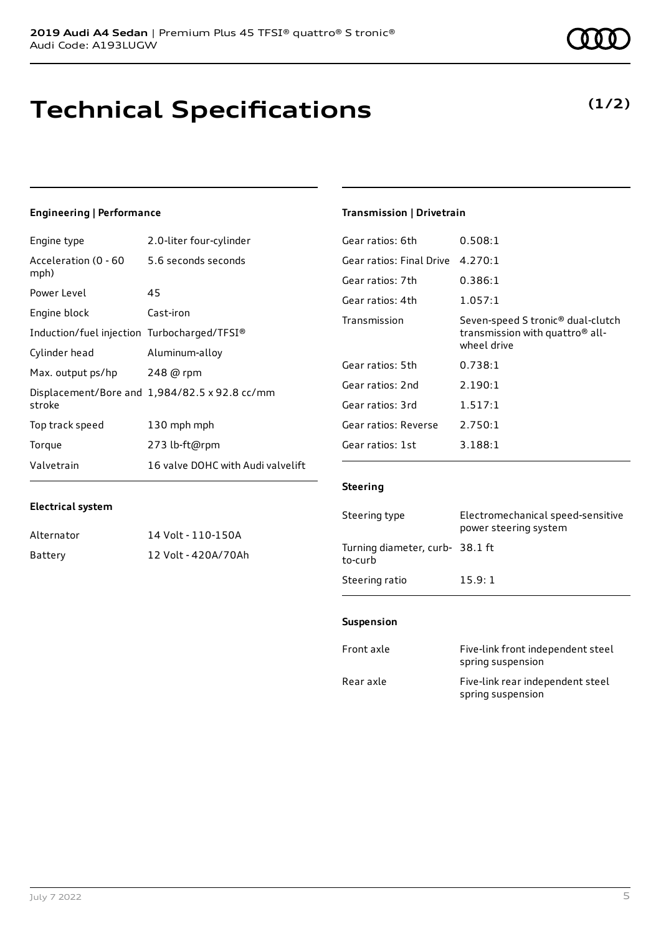### **Technical Specifications**

### **Engineering | Performance**

**Electrical system**

Engine type 2.0-liter four-cylinder

Alternator 14 Volt - 110-150A Battery 12 Volt - 420A/70Ah

| Acceleration (0 - 60<br>mph)                | 5.6 seconds seconds                           |
|---------------------------------------------|-----------------------------------------------|
| Power Level                                 | 45                                            |
| Engine block                                | Cast-iron                                     |
| Induction/fuel injection Turbocharged/TFSI® |                                               |
| Cylinder head                               | Aluminum-alloy                                |
| Max. output ps/hp 248 @ rpm                 |                                               |
| stroke                                      | Displacement/Bore and 1,984/82.5 x 92.8 cc/mm |
| Top track speed                             | 130 mph mph                                   |
| Torque                                      | 273 lb-ft@rpm                                 |
| Valvetrain                                  | 16 valve DOHC with Audi valvelift             |

#### **Transmission | Drivetrain**

| Gear ratios: 6th         | 0.508:1                                                                                                     |
|--------------------------|-------------------------------------------------------------------------------------------------------------|
| Gear ratios: Final Drive | 4.270:1                                                                                                     |
| Gear ratios: 7th         | 0.386:1                                                                                                     |
| Gear ratios: 4th         | 1.057:1                                                                                                     |
| Transmission             | Seven-speed S tronic <sup>®</sup> dual-clutch<br>transmission with quattro <sup>®</sup> all-<br>wheel drive |
| Gear ratios: 5th         | 0.738:1                                                                                                     |
| Gear ratios: 2nd         | 2.190:1                                                                                                     |
| Gear ratios: 3rd         | 1.517:1                                                                                                     |
| Gear ratios: Reverse     | 2.750:1                                                                                                     |
| Gear ratios: 1st         | 3.188:1                                                                                                     |

#### **Steering**

| Steering type                             | Electromechanical speed-sensitive<br>power steering system |
|-------------------------------------------|------------------------------------------------------------|
| Turning diameter, curb-38.1 ft<br>to-curb |                                                            |
| Steering ratio                            | 15.9:1                                                     |

#### **Suspension**

| Front axle | Five-link front independent steel<br>spring suspension |
|------------|--------------------------------------------------------|
| Rear axle  | Five-link rear independent steel<br>spring suspension  |

**(1/2)**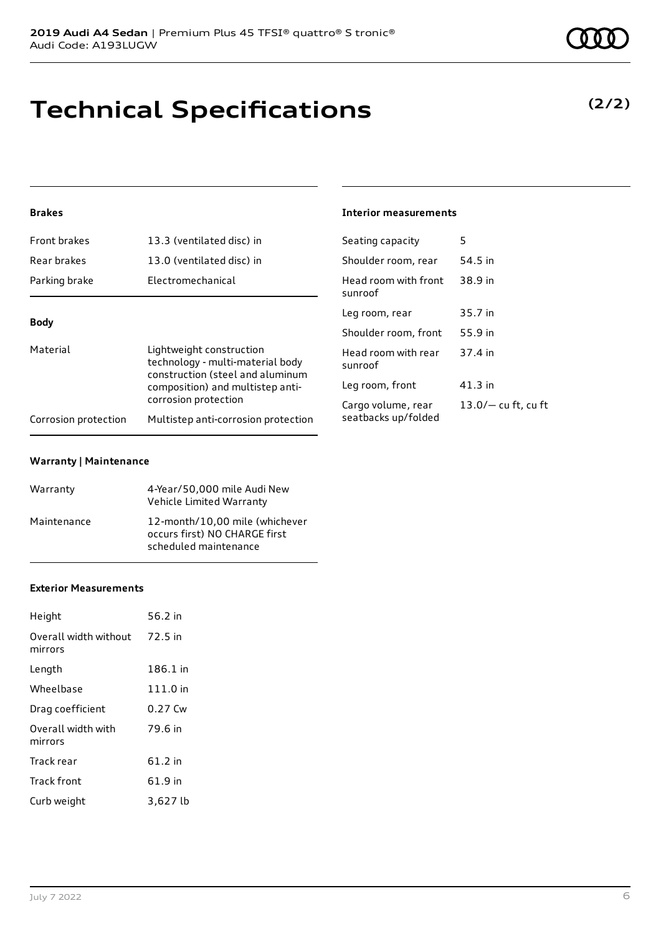# **Technical Specifications**

**(2/2)**

### **Brakes**

| Front brakes         | 13.3 (ventilated disc) in                                                                        | Seating capacity                | 5                     |
|----------------------|--------------------------------------------------------------------------------------------------|---------------------------------|-----------------------|
| Rear brakes          | 13.0 (ventilated disc) in                                                                        | Shoulder room, rear             | 54.5 in               |
| Parking brake        | Electromechanical                                                                                | Head room with front<br>sunroof | 38.9 in               |
|                      |                                                                                                  | Leg room, rear                  | 35.7 in               |
| <b>Body</b>          |                                                                                                  | Shoulder room, front            | 55.9 in               |
| Material             | Lightweight construction<br>technology - multi-material body<br>construction (steel and aluminum | Head room with rear<br>sunroof  | 37.4 in               |
|                      | composition) and multistep anti-                                                                 | Leg room, front                 | $41.3$ in             |
|                      | corrosion protection                                                                             | Cargo volume, rear              | $13.0/-$ cu ft, cu ft |
| Corrosion protection | Multistep anti-corrosion protection                                                              | seatbacks up/folded             |                       |

**Interior measurements**

#### **Warranty | Maintenance**

| Warranty    | 4-Year/50,000 mile Audi New<br>Vehicle Limited Warranty                                  |
|-------------|------------------------------------------------------------------------------------------|
| Maintenance | 12-month/10.00 mile (whichever<br>occurs first) NO CHARGE first<br>scheduled maintenance |

#### **Exterior Measurements**

| Height                           | 56.2 in  |
|----------------------------------|----------|
| Overall width without<br>mirrors | 72.5 in  |
| Length                           | 186.1 in |
| Wheelbase                        | 111.0 in |
| Drag coefficient                 | 0.27 Cw  |
| Overall width with<br>mirrors    | 79.6 in  |
| Track rear                       | 61.2 in  |
| Track front                      | 61.9 in  |
| Curb weight                      | 3,627 lb |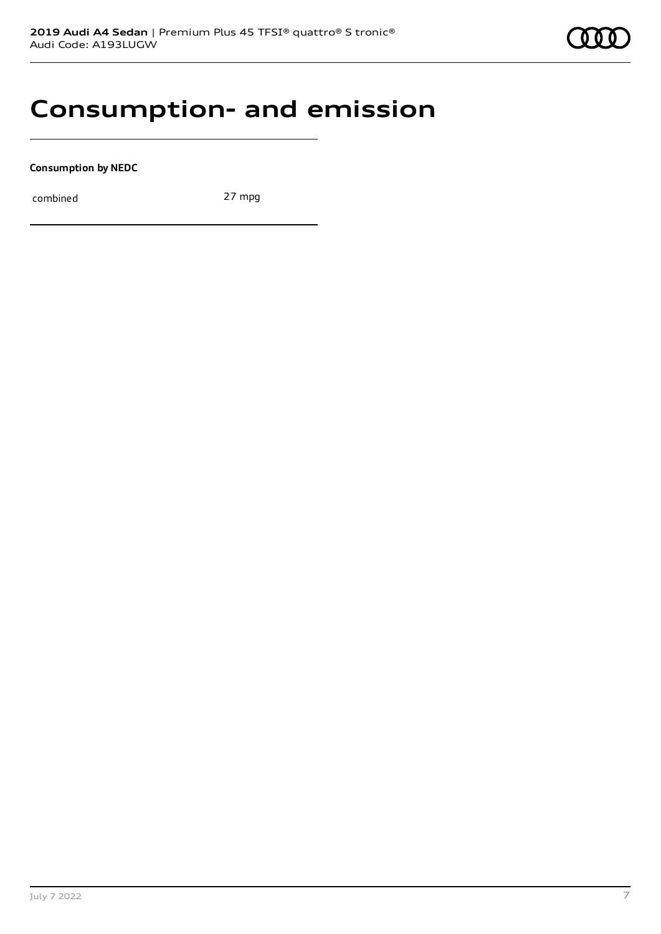### **Consumption- and emission**

**Consumption by NEDC**

combined 27 mpg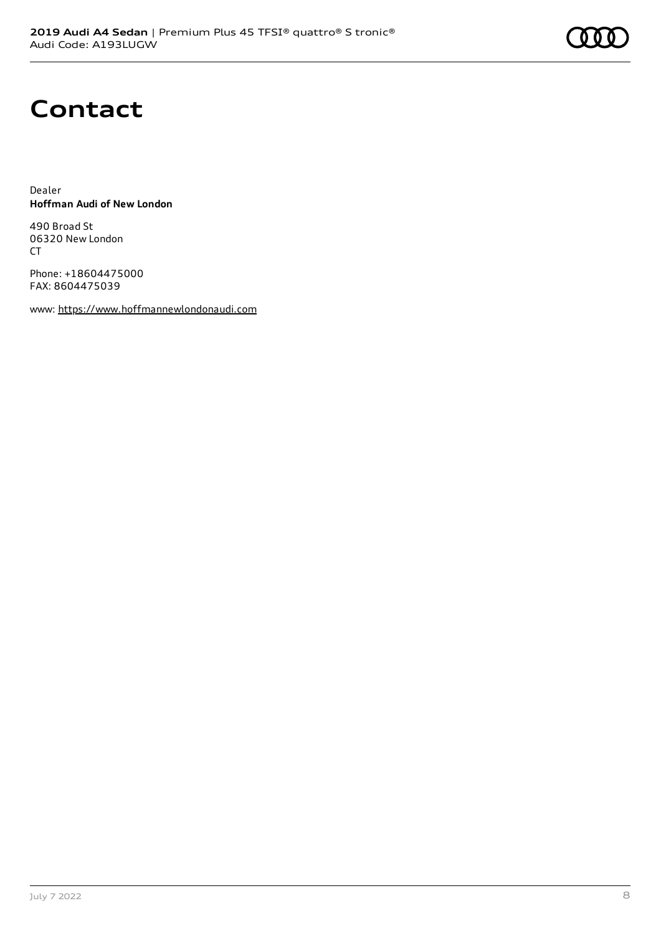# **Contact**

Dealer **Hoffman Audi of New London**

490 Broad St 06320 New London CT

Phone: +18604475000 FAX: 8604475039

www: [https://www.hoffmannewlondonaudi.com](https://www.hoffmannewlondonaudi.com/)